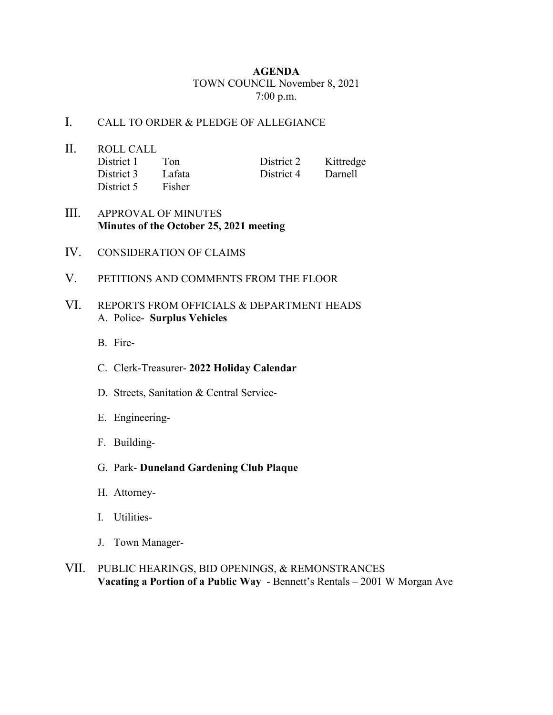## **AGENDA** TOWN COUNCIL November 8, 2021 7:00 p.m.

## I. CALL TO ORDER & PLEDGE OF ALLEGIANCE

- II. ROLL CALL<br>District 1 Ton District 2 Kittredge District 3 Lafata District 4 Darnell District 5 Fisher
- III. APPROVAL OF MINUTES **Minutes of the October 25, 2021 meeting**
- IV. CONSIDERATION OF CLAIMS
- V. PETITIONS AND COMMENTS FROM THE FLOOR

## VI. REPORTS FROM OFFICIALS & DEPARTMENT HEADS A. Police- **Surplus Vehicles**

- B. Fire-
- C. Clerk-Treasurer- **2022 Holiday Calendar**
- D. Streets, Sanitation & Central Service-
- E. Engineering-
- F. Building-
- G. Park- **Duneland Gardening Club Plaque**
- H. Attorney-
- I. Utilities-
- J. Town Manager-
- VII. PUBLIC HEARINGS, BID OPENINGS, & REMONSTRANCES **Vacating a Portion of a Public Way** - Bennett's Rentals – 2001 W Morgan Ave